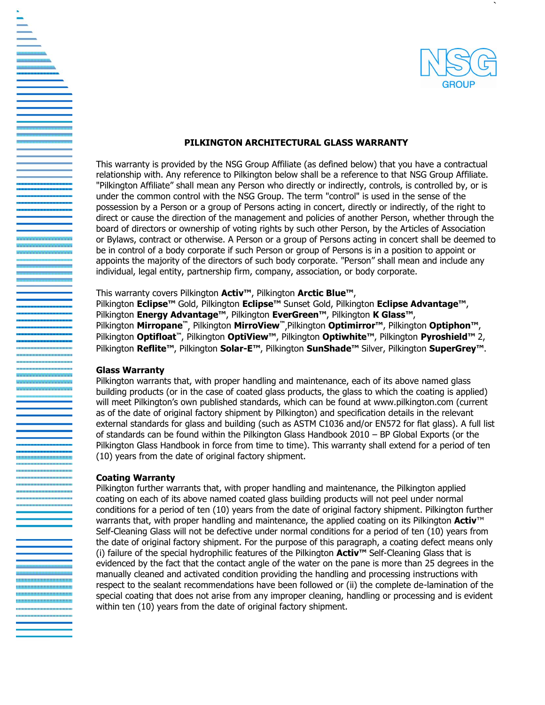

`

### **PILKINGTON ARCHITECTURAL GLASS WARRANTY**

This warranty is provided by the NSG Group Affiliate (as defined below) that you have a contractual relationship with. Any reference to Pilkington below shall be a reference to that NSG Group Affiliate. "Pilkington Affiliate" shall mean any Person who directly or indirectly, controls, is controlled by, or is under the common control with the NSG Group. The term "control" is used in the sense of the possession by a Person or a group of Persons acting in concert, directly or indirectly, of the right to direct or cause the direction of the management and policies of another Person, whether through the board of directors or ownership of voting rights by such other Person, by the Articles of Association or Bylaws, contract or otherwise. A Person or a group of Persons acting in concert shall be deemed to be in control of a body corporate if such Person or group of Persons is in a position to appoint or appoints the majority of the directors of such body corporate. "Person" shall mean and include any individual, legal entity, partnership firm, company, association, or body corporate.

### This warranty covers Pilkington **Activ™**, Pilkington **Arctic Blue™**,

Pilkington **Eclipse™** Gold, Pilkington **Eclipse™** Sunset Gold, Pilkington **Eclipse Advantage™**, Pilkington **Energy Advantage™**, Pilkington **EverGreen™**, Pilkington **K Glass™**, Pilkington **Mirropane™** , Pilkington **MirroView™** ,Pilkington **Optimirror™**, Pilkington **Optiphon™**, Pilkington **Optifloat™**, Pilkington **OptiView™**, Pilkington **Optiwhite™**, Pilkington **Pyroshield™** 2, Pilkington **Reflite™**, Pilkington **Solar-E™**, Pilkington **SunShade™** Silver, Pilkington **SuperGrey™**.

#### **Glass Warranty**

Pilkington warrants that, with proper handling and maintenance, each of its above named glass building products (or in the case of coated glass products, the glass to which the coating is applied) will meet Pilkington's own published standards, which can be found at www.pilkington.com (current as of the date of original factory shipment by Pilkington) and specification details in the relevant external standards for glass and building (such as ASTM C1036 and/or EN572 for flat glass). A full list of standards can be found within the Pilkington Glass Handbook 2010 – BP Global Exports (or the Pilkington Glass Handbook in force from time to time). This warranty shall extend for a period of ten (10) years from the date of original factory shipment.

#### **Coating Warranty**

Pilkington further warrants that, with proper handling and maintenance, the Pilkington applied coating on each of its above named coated glass building products will not peel under normal conditions for a period of ten (10) years from the date of original factory shipment. Pilkington further warrants that, with proper handling and maintenance, the applied coating on its Pilkington **Activ**™ Self-Cleaning Glass will not be defective under normal conditions for a period of ten (10) years from the date of original factory shipment. For the purpose of this paragraph, a coating defect means only (i) failure of the special hydrophilic features of the Pilkington **Activ™** Self-Cleaning Glass that is evidenced by the fact that the contact angle of the water on the pane is more than 25 degrees in the manually cleaned and activated condition providing the handling and processing instructions with respect to the sealant recommendations have been followed or (ii) the complete de-lamination of the special coating that does not arise from any improper cleaning, handling or processing and is evident within ten (10) years from the date of original factory shipment.